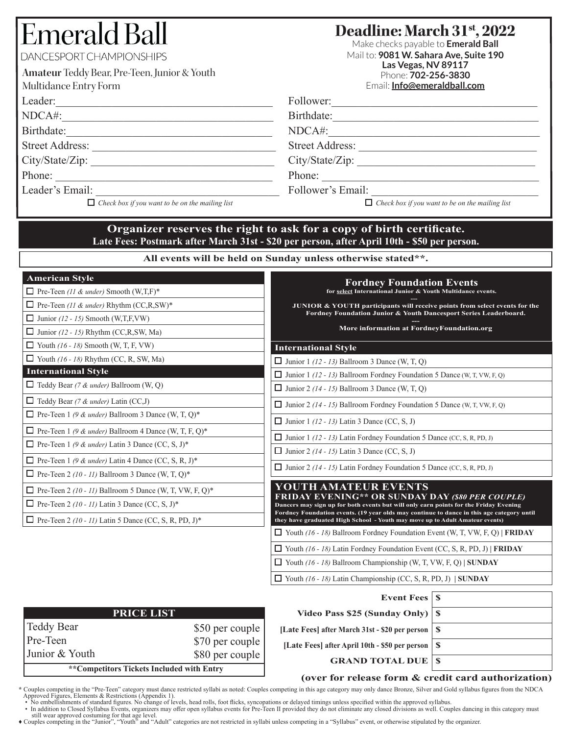# Emerald Ba

DANCESPORT CHAMPIONSHIPS

| Amateur Teddy Bear, Pre-Teen, Junior & Youth |
|----------------------------------------------|
| Multidance Entry Form                        |
| Leader:                                      |

|  | eader: |  |
|--|--------|--|
|  |        |  |

NDCA#:\_\_\_\_\_\_\_\_\_\_\_\_\_\_\_\_\_\_\_\_\_\_\_\_\_\_\_\_\_\_\_\_\_\_\_\_\_\_

Birthdate:\_\_\_\_\_\_\_\_\_\_\_\_\_\_\_\_\_\_\_\_\_\_\_\_\_\_\_\_\_\_\_\_\_\_\_\_\_

Street Address: \_\_\_\_\_\_\_\_\_\_\_\_\_\_\_\_\_\_\_\_\_\_\_\_\_\_\_\_\_\_\_\_\_ City/State/Zip:

Phone:

Leader's Email:

*Check box if you want to be on the mailing list Check box if you want to be on the mailing list*

**Deadline: March 31st, 2022**

Make checks payable to **Emerald Ball** Mail to: **9081 W. Sahara Ave, Suite 190 Las Vegas, NV 89117** Phone: **702-256-3830** Email: **Info@emeraldball.com**

| Follo<br>$\frac{1}{1}$ |  |  |  |
|------------------------|--|--|--|
|                        |  |  |  |

Birthdate:\_\_\_\_\_\_\_\_\_\_\_\_\_\_\_\_\_\_\_\_\_\_\_\_\_\_\_\_\_\_\_\_\_\_\_\_\_

NDCA#:\_\_\_\_\_\_\_\_\_\_\_\_\_\_\_\_\_\_\_\_\_\_\_\_\_\_\_\_\_\_\_\_\_\_\_\_\_\_

Street Address:

City/State/Zip:

Phone:

Follower's Email:

### **Organizer reserves the right to ask for a copy of birth certificate. Late Fees: Postmark after March 31st - \$20 per person, after April 10th - \$50 per person.**

**All events will be held on Sunday unless otherwise stated\*\*.**

| <b>American Style</b>                                          |                                    | <b>Fordney Foundation Events</b>                                                                                                                                          |                              |  |
|----------------------------------------------------------------|------------------------------------|---------------------------------------------------------------------------------------------------------------------------------------------------------------------------|------------------------------|--|
| $\Box$ Pre-Teen (11 & under) Smooth (W,T,F)*                   |                                    | for select International Junior & Youth Multidance events.                                                                                                                |                              |  |
| $\Box$ Pre-Teen (11 & under) Rhythm (CC,R,SW)*                 |                                    | JUNIOR & YOUTH participants will receive points from select events for the<br>Fordney Foundation Junior & Youth Dancesport Series Leaderboard.                            |                              |  |
| $\Box$ Junior (12 - 15) Smooth (W,T,F,VW)                      |                                    | More information at FordneyFoundation.org                                                                                                                                 |                              |  |
| $\Box$ Junior (12 - 15) Rhythm (CC,R,SW, Ma)                   |                                    |                                                                                                                                                                           |                              |  |
| $\Box$ Youth (16 - 18) Smooth (W, T, F, VW)                    |                                    | <b>International Style</b>                                                                                                                                                |                              |  |
| $\Box$ Youth (16 - 18) Rhythm (CC, R, SW, Ma)                  |                                    | $\Box$ Junior 1 (12 - 13) Ballroom 3 Dance (W, T, Q)                                                                                                                      |                              |  |
| <b>International Style</b>                                     |                                    | $\Box$ Junior 1 (12 - 13) Ballroom Fordney Foundation 5 Dance (W, T, VW, F, Q)                                                                                            |                              |  |
| $\Box$ Teddy Bear (7 & under) Ballroom (W, Q)                  |                                    | $\Box$ Junior 2 (14 - 15) Ballroom 3 Dance (W, T, Q)                                                                                                                      |                              |  |
| $\Box$ Teddy Bear (7 & under) Latin (CC,J)                     |                                    | $\Box$ Junior 2 (14 - 15) Ballroom Fordney Foundation 5 Dance (W, T, VW, F, Q)                                                                                            |                              |  |
| $\Box$ Pre-Teen 1 (9 & under) Ballroom 3 Dance (W, T, Q)*      |                                    | $\Box$ Junior 1 (12 - 13) Latin 3 Dance (CC, S, J)                                                                                                                        |                              |  |
| $\Box$ Pre-Teen 1 (9 & under) Ballroom 4 Dance (W, T, F, Q)*   |                                    | $\Box$ Junior 1 (12 - 13) Latin Fordney Foundation 5 Dance (CC, S, R, PD, J)                                                                                              |                              |  |
| $\Box$ Pre-Teen 1 (9 & under) Latin 3 Dance (CC, S, J)*        |                                    | $\Box$ Junior 2 (14 - 15) Latin 3 Dance (CC, S, J)                                                                                                                        |                              |  |
| $\Box$ Pre-Teen 1 (9 & under) Latin 4 Dance (CC, S, R, J)*     |                                    | <b>I</b> Junior 2 (14 - 15) Latin Fordney Foundation 5 Dance (CC, S, R, PD, J)                                                                                            |                              |  |
| $\Box$ Pre-Teen 2 (10 - 11) Ballroom 3 Dance (W, T, Q)*        |                                    |                                                                                                                                                                           |                              |  |
|                                                                |                                    | YOUTH AMATEUR EVENTS                                                                                                                                                      |                              |  |
| $\Box$ Pre-Teen 2 (10 - 11) Ballroom 5 Dance (W, T, VW, F, Q)* |                                    |                                                                                                                                                                           |                              |  |
| $\Box$ Pre-Teen 2 (10 - 11) Latin 3 Dance (CC, S, J)*          |                                    | <b>FRIDAY EVENING** OR SUNDAY DAY (\$80 PER COUPLE)</b><br>Dancers may sign up for both events but will only earn points for the Friday Evening                           |                              |  |
| $\Box$ Pre-Teen 2 (10 - 11) Latin 5 Dance (CC, S, R, PD, J)*   |                                    | Fordney Foundation events. (19 year olds may continue to dance in this age category until<br>they have graduated High School - Youth may move up to Adult Amateur events) |                              |  |
|                                                                |                                    | $\Box$ Youth (16 - 18) Ballroom Fordney Foundation Event (W, T, VW, F, Q)   FRIDAY                                                                                        |                              |  |
|                                                                |                                    | $\Box$ Youth (16 - 18) Latin Fordney Foundation Event (CC, S, R, PD, J)   FRIDAY                                                                                          |                              |  |
|                                                                |                                    | $\Box$ Youth (16 - 18) Ballroom Championship (W, T, VW, F, Q)   SUNDAY                                                                                                    |                              |  |
|                                                                |                                    | $\Box$ Youth (16 - 18) Latin Championship (CC, S, R, PD, J)   SUNDAY                                                                                                      |                              |  |
|                                                                |                                    | <b>Event Fees</b>                                                                                                                                                         | $\mathbf{s}$                 |  |
| <b>PRICE LIST</b>                                              |                                    | Video Pass \$25 (Sunday Only)                                                                                                                                             | <sup>S</sup>                 |  |
| <b>Teddy Bear</b>                                              |                                    |                                                                                                                                                                           |                              |  |
| Pre-Teen                                                       | \$50 per couple                    | [Late Fees] after March 31st - \$20 per person                                                                                                                            | $\mathbf{s}$                 |  |
| Junior & Youth                                                 | \$70 per couple<br>\$80 per couple | [Late Fees] after April 10th - \$50 per person<br><b>GRAND TOTAL DUE</b>                                                                                                  | $\mathbf{s}$<br>$\mathbf{s}$ |  |

#### **(over for release form & credit card authorization)**

\* Couples competing in the "Pre-Teen" category must dance restricted syllabi as noted: Couples competing in this age category may only dance Bronze, Silver and Gold syllabus figures from the NDCA<br>Approved Figures, Elements

still wear approved costuming for that age level.<br>Couples competing in the "Junior", "Youth" and "Adult" categories are not restricted in syllabi unless competing in a "Syllabus" event, or otherwise stipulated by the organ